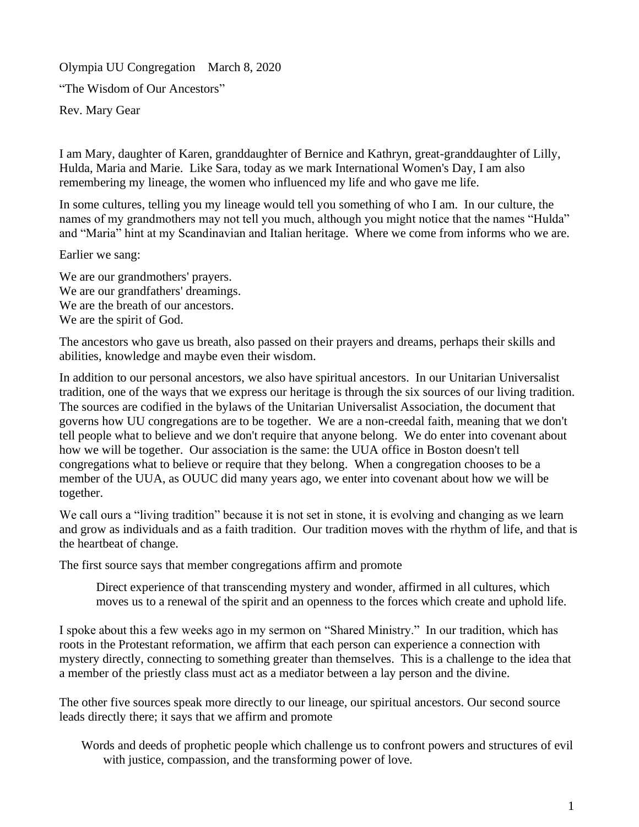Olympia UU Congregation March 8, 2020 "The Wisdom of Our Ancestors" Rev. Mary Gear

I am Mary, daughter of Karen, granddaughter of Bernice and Kathryn, great-granddaughter of Lilly, Hulda, Maria and Marie. Like Sara, today as we mark International Women's Day, I am also remembering my lineage, the women who influenced my life and who gave me life.

In some cultures, telling you my lineage would tell you something of who I am. In our culture, the names of my grandmothers may not tell you much, although you might notice that the names "Hulda" and "Maria" hint at my Scandinavian and Italian heritage. Where we come from informs who we are.

Earlier we sang:

We are our grandmothers' prayers. We are our grandfathers' dreamings. We are the breath of our ancestors. We are the spirit of God.

The ancestors who gave us breath, also passed on their prayers and dreams, perhaps their skills and abilities, knowledge and maybe even their wisdom.

In addition to our personal ancestors, we also have spiritual ancestors. In our Unitarian Universalist tradition, one of the ways that we express our heritage is through the six sources of our living tradition. The sources are codified in the bylaws of the Unitarian Universalist Association, the document that governs how UU congregations are to be together. We are a non-creedal faith, meaning that we don't tell people what to believe and we don't require that anyone belong. We do enter into covenant about how we will be together. Our association is the same: the UUA office in Boston doesn't tell congregations what to believe or require that they belong. When a congregation chooses to be a member of the UUA, as OUUC did many years ago, we enter into covenant about how we will be together.

We call ours a "living tradition" because it is not set in stone, it is evolving and changing as we learn and grow as individuals and as a faith tradition. Our tradition moves with the rhythm of life, and that is the heartbeat of change.

The first source says that member congregations affirm and promote

Direct experience of that transcending mystery and wonder, affirmed in all cultures, which moves us to a renewal of the spirit and an openness to the forces which create and uphold life.

I spoke about this a few weeks ago in my sermon on "Shared Ministry." In our tradition, which has roots in the Protestant reformation, we affirm that each person can experience a connection with mystery directly, connecting to something greater than themselves. This is a challenge to the idea that a member of the priestly class must act as a mediator between a lay person and the divine.

The other five sources speak more directly to our lineage, our spiritual ancestors. Our second source leads directly there; it says that we affirm and promote

Words and deeds of prophetic people which challenge us to confront powers and structures of evil with justice, compassion, and the transforming power of love.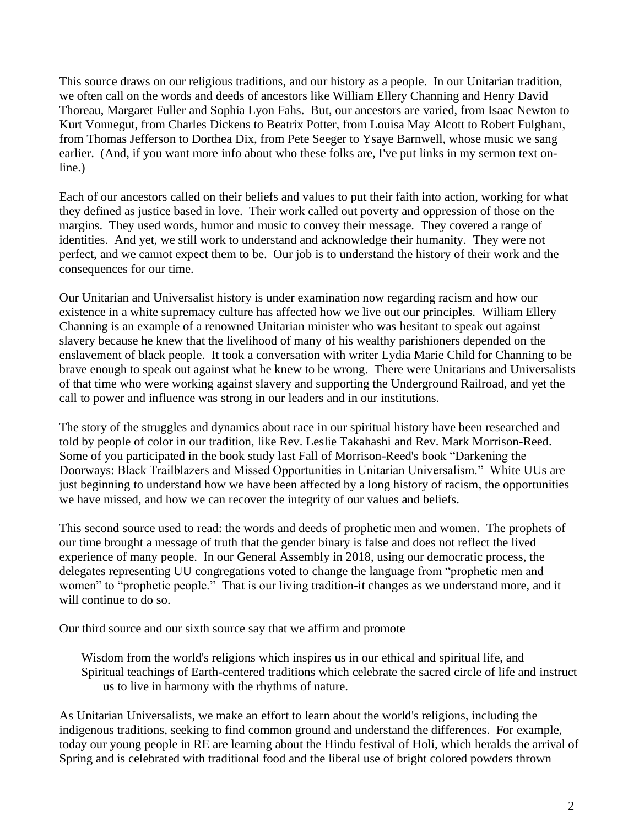This source draws on our religious traditions, and our history as a people. In our Unitarian tradition, we often call on the words and deeds of ancestors like William Ellery Channing and Henry David Thoreau, Margaret Fuller and Sophia Lyon Fahs. But, our ancestors are varied, from Isaac Newton to Kurt Vonnegut, from Charles Dickens to Beatrix Potter, from Louisa May Alcott to Robert Fulgham, from Thomas Jefferson to Dorthea Dix, from Pete Seeger to Ysaye Barnwell, whose music we sang earlier. (And, if you want more info about who these folks are, I've put links in my sermon text online.)

Each of our ancestors called on their beliefs and values to put their faith into action, working for what they defined as justice based in love. Their work called out poverty and oppression of those on the margins. They used words, humor and music to convey their message. They covered a range of identities. And yet, we still work to understand and acknowledge their humanity. They were not perfect, and we cannot expect them to be. Our job is to understand the history of their work and the consequences for our time.

Our Unitarian and Universalist history is under examination now regarding racism and how our existence in a white supremacy culture has affected how we live out our principles. William Ellery Channing is an example of a renowned Unitarian minister who was hesitant to speak out against slavery because he knew that the livelihood of many of his wealthy parishioners depended on the enslavement of black people. It took a conversation with writer Lydia Marie Child for Channing to be brave enough to speak out against what he knew to be wrong. There were Unitarians and Universalists of that time who were working against slavery and supporting the Underground Railroad, and yet the call to power and influence was strong in our leaders and in our institutions.

The story of the struggles and dynamics about race in our spiritual history have been researched and told by people of color in our tradition, like Rev. Leslie Takahashi and Rev. Mark Morrison-Reed. Some of you participated in the book study last Fall of Morrison-Reed's book "Darkening the Doorways: Black Trailblazers and Missed Opportunities in Unitarian Universalism." White UUs are just beginning to understand how we have been affected by a long history of racism, the opportunities we have missed, and how we can recover the integrity of our values and beliefs.

This second source used to read: the words and deeds of prophetic men and women. The prophets of our time brought a message of truth that the gender binary is false and does not reflect the lived experience of many people. In our General Assembly in 2018, using our democratic process, the delegates representing UU congregations voted to change the language from "prophetic men and women" to "prophetic people." That is our living tradition-it changes as we understand more, and it will continue to do so.

Our third source and our sixth source say that we affirm and promote

Wisdom from the world's religions which inspires us in our ethical and spiritual life, and Spiritual teachings of Earth-centered traditions which celebrate the sacred circle of life and instruct us to live in harmony with the rhythms of nature.

As Unitarian Universalists, we make an effort to learn about the world's religions, including the indigenous traditions, seeking to find common ground and understand the differences. For example, today our young people in RE are learning about the Hindu festival of Holi, which heralds the arrival of Spring and is celebrated with traditional food and the liberal use of bright colored powders thrown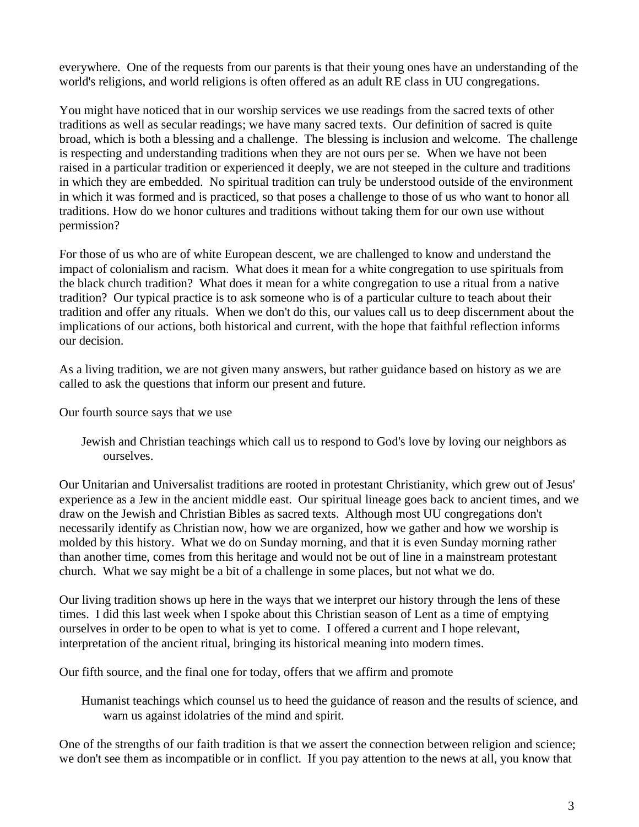everywhere. One of the requests from our parents is that their young ones have an understanding of the world's religions, and world religions is often offered as an adult RE class in UU congregations.

You might have noticed that in our worship services we use readings from the sacred texts of other traditions as well as secular readings; we have many sacred texts. Our definition of sacred is quite broad, which is both a blessing and a challenge. The blessing is inclusion and welcome. The challenge is respecting and understanding traditions when they are not ours per se. When we have not been raised in a particular tradition or experienced it deeply, we are not steeped in the culture and traditions in which they are embedded. No spiritual tradition can truly be understood outside of the environment in which it was formed and is practiced, so that poses a challenge to those of us who want to honor all traditions. How do we honor cultures and traditions without taking them for our own use without permission?

For those of us who are of white European descent, we are challenged to know and understand the impact of colonialism and racism. What does it mean for a white congregation to use spirituals from the black church tradition? What does it mean for a white congregation to use a ritual from a native tradition? Our typical practice is to ask someone who is of a particular culture to teach about their tradition and offer any rituals. When we don't do this, our values call us to deep discernment about the implications of our actions, both historical and current, with the hope that faithful reflection informs our decision.

As a living tradition, we are not given many answers, but rather guidance based on history as we are called to ask the questions that inform our present and future.

Our fourth source says that we use

Jewish and Christian teachings which call us to respond to God's love by loving our neighbors as ourselves.

Our Unitarian and Universalist traditions are rooted in protestant Christianity, which grew out of Jesus' experience as a Jew in the ancient middle east. Our spiritual lineage goes back to ancient times, and we draw on the Jewish and Christian Bibles as sacred texts. Although most UU congregations don't necessarily identify as Christian now, how we are organized, how we gather and how we worship is molded by this history. What we do on Sunday morning, and that it is even Sunday morning rather than another time, comes from this heritage and would not be out of line in a mainstream protestant church. What we say might be a bit of a challenge in some places, but not what we do.

Our living tradition shows up here in the ways that we interpret our history through the lens of these times. I did this last week when I spoke about this Christian season of Lent as a time of emptying ourselves in order to be open to what is yet to come. I offered a current and I hope relevant, interpretation of the ancient ritual, bringing its historical meaning into modern times.

Our fifth source, and the final one for today, offers that we affirm and promote

Humanist teachings which counsel us to heed the guidance of reason and the results of science, and warn us against idolatries of the mind and spirit.

One of the strengths of our faith tradition is that we assert the connection between religion and science; we don't see them as incompatible or in conflict. If you pay attention to the news at all, you know that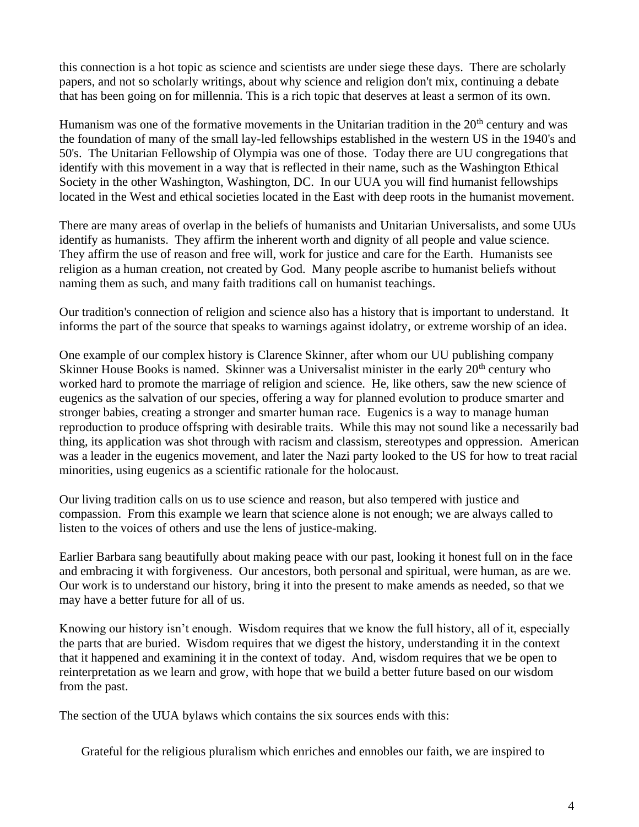this connection is a hot topic as science and scientists are under siege these days. There are scholarly papers, and not so scholarly writings, about why science and religion don't mix, continuing a debate that has been going on for millennia. This is a rich topic that deserves at least a sermon of its own.

Humanism was one of the formative movements in the Unitarian tradition in the  $20<sup>th</sup>$  century and was the foundation of many of the small lay-led fellowships established in the western US in the 1940's and 50's. The Unitarian Fellowship of Olympia was one of those. Today there are UU congregations that identify with this movement in a way that is reflected in their name, such as the Washington Ethical Society in the other Washington, Washington, DC. In our UUA you will find humanist fellowships located in the West and ethical societies located in the East with deep roots in the humanist movement.

There are many areas of overlap in the beliefs of humanists and Unitarian Universalists, and some UUs identify as humanists. They affirm the inherent worth and dignity of all people and value science. They affirm the use of reason and free will, work for justice and care for the Earth. Humanists see religion as a human creation, not created by God. Many people ascribe to humanist beliefs without naming them as such, and many faith traditions call on humanist teachings.

Our tradition's connection of religion and science also has a history that is important to understand. It informs the part of the source that speaks to warnings against idolatry, or extreme worship of an idea.

One example of our complex history is Clarence Skinner, after whom our UU publishing company Skinner House Books is named. Skinner was a Universalist minister in the early  $20<sup>th</sup>$  century who worked hard to promote the marriage of religion and science. He, like others, saw the new science of eugenics as the salvation of our species, offering a way for planned evolution to produce smarter and stronger babies, creating a stronger and smarter human race. Eugenics is a way to manage human reproduction to produce offspring with desirable traits. While this may not sound like a necessarily bad thing, its application was shot through with racism and classism, stereotypes and oppression. American was a leader in the eugenics movement, and later the Nazi party looked to the US for how to treat racial minorities, using eugenics as a scientific rationale for the holocaust.

Our living tradition calls on us to use science and reason, but also tempered with justice and compassion. From this example we learn that science alone is not enough; we are always called to listen to the voices of others and use the lens of justice-making.

Earlier Barbara sang beautifully about making peace with our past, looking it honest full on in the face and embracing it with forgiveness. Our ancestors, both personal and spiritual, were human, as are we. Our work is to understand our history, bring it into the present to make amends as needed, so that we may have a better future for all of us.

Knowing our history isn't enough. Wisdom requires that we know the full history, all of it, especially the parts that are buried. Wisdom requires that we digest the history, understanding it in the context that it happened and examining it in the context of today. And, wisdom requires that we be open to reinterpretation as we learn and grow, with hope that we build a better future based on our wisdom from the past.

The section of the UUA bylaws which contains the six sources ends with this:

Grateful for the religious pluralism which enriches and ennobles our faith, we are inspired to